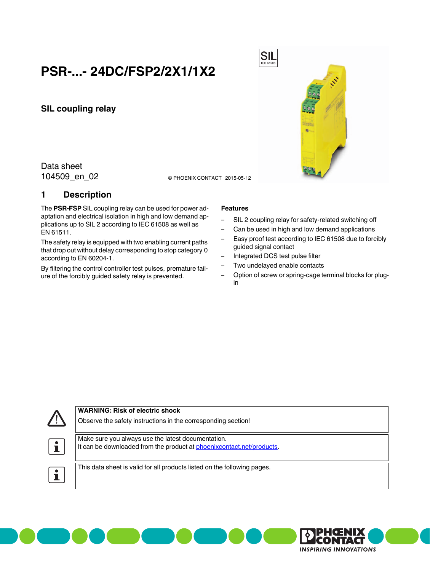# **PSR-...- 24DC/FSP2/2X1/1X2**

**SIL coupling relay**

Data sheet

104509\_en\_02 <br>
© PHOENIX CONTACT 2015-05-12

## <span id="page-0-0"></span>**1 Description**

The **PSR-FSP** SIL coupling relay can be used for power adaptation and electrical isolation in high and low demand applications up to SIL 2 according to IEC 61508 as well as EN 61511.

The safety relay is equipped with two enabling current paths that drop out without delay corresponding to stop category 0 according to EN 60204-1.

By filtering the control controller test pulses, premature failure of the forcibly guided safety relay is prevented.

#### **Features**

- SIL 2 coupling relay for safety-related switching off
- Can be used in high and low demand applications
- Easy proof test according to IEC 61508 due to forcibly guided signal contact
- Integrated DCS test pulse filter

**SIL** 

- Two undelayed enable contacts
- Option of screw or spring-cage terminal blocks for plugin





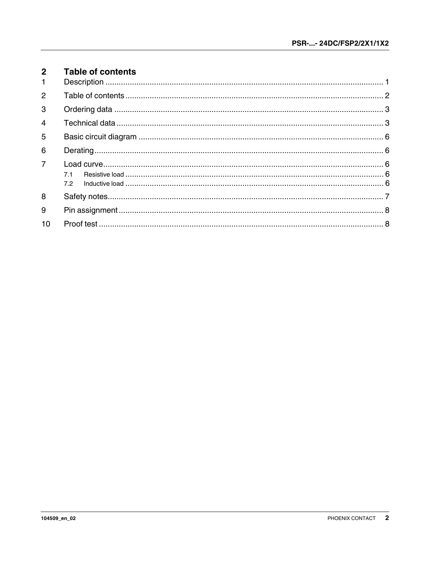<span id="page-1-0"></span>

| $2^{\circ}$<br>$\mathbf{1}$ | <b>Table of contents</b> |  |
|-----------------------------|--------------------------|--|
| $\overline{2}$              |                          |  |
| 3                           |                          |  |
| $\overline{4}$              |                          |  |
| 5                           |                          |  |
| 6                           |                          |  |
| $\overline{7}$              | 7.1<br>7.2               |  |
| 8                           |                          |  |
| 9                           |                          |  |
| 10                          |                          |  |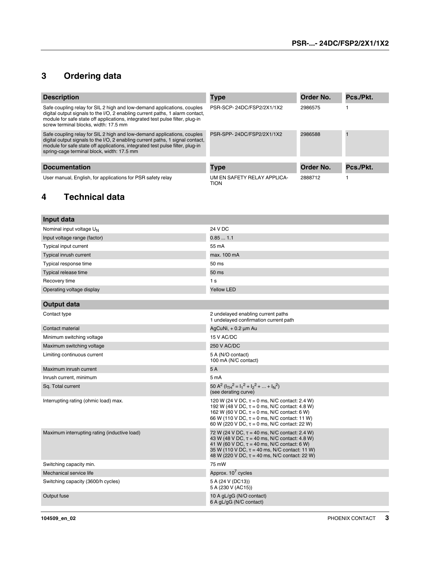# <span id="page-2-0"></span>**3 Ordering data**

| <b>Description</b>                                                                                                                                                                                                                                                                       | <b>Type</b>                         | Order No. | Pcs./Pkt. |
|------------------------------------------------------------------------------------------------------------------------------------------------------------------------------------------------------------------------------------------------------------------------------------------|-------------------------------------|-----------|-----------|
| Safe coupling relay for SIL 2 high and low-demand applications, couples<br>digital output signals to the I/O, 2 enabling current paths, 1 alarm contact,<br>module for safe state off applications, integrated test pulse filter, plug-in<br>screw terminal blocks, width: 17.5 mm       | PSR-SCP-24DC/FSP2/2X1/1X2           | 2986575   |           |
| Safe coupling relay for SIL 2 high and low-demand applications, couples<br>digital output signals to the I/O, 2 enabling current paths, 1 signal contact,<br>module for safe state off applications, integrated test pulse filter, plug-in<br>spring-cage terminal block, width: 17.5 mm | PSR-SPP-24DC/FSP2/2X1/1X2           | 2986588   |           |
|                                                                                                                                                                                                                                                                                          |                                     |           |           |
| <b>Documentation</b>                                                                                                                                                                                                                                                                     | <b>Type</b>                         | Order No. | Pcs./Pkt. |
| User manual, English, for applications for PSR safety relay                                                                                                                                                                                                                              | UM EN SAFETY RELAY APPLICA-<br>TION | 2888712   |           |

# <span id="page-2-1"></span>**4 Technical data**

| Input data                                   |                                                                                                                                                                                                                                                                        |
|----------------------------------------------|------------------------------------------------------------------------------------------------------------------------------------------------------------------------------------------------------------------------------------------------------------------------|
| Nominal input voltage U <sub>N</sub>         | 24 V DC                                                                                                                                                                                                                                                                |
| Input voltage range (factor)                 | 0.851.1                                                                                                                                                                                                                                                                |
| Typical input current                        | 55 mA                                                                                                                                                                                                                                                                  |
| Typical inrush current                       | max. 100 mA                                                                                                                                                                                                                                                            |
| Typical response time                        | 50 ms                                                                                                                                                                                                                                                                  |
| Typical release time                         | 50 ms                                                                                                                                                                                                                                                                  |
| Recovery time                                | 1 s                                                                                                                                                                                                                                                                    |
| Operating voltage display                    | <b>Yellow LED</b>                                                                                                                                                                                                                                                      |
|                                              |                                                                                                                                                                                                                                                                        |
| <b>Output data</b>                           |                                                                                                                                                                                                                                                                        |
| Contact type                                 | 2 undelayed enabling current paths<br>1 undelayed confirmation current path                                                                                                                                                                                            |
| Contact material                             | AgCuNi, + 0.2 µm Au                                                                                                                                                                                                                                                    |
| Minimum switching voltage                    | 15 V AC/DC                                                                                                                                                                                                                                                             |
| Maximum switching voltage                    | <b>250 V AC/DC</b>                                                                                                                                                                                                                                                     |
| Limiting continuous current                  | 5 A (N/O contact)<br>100 mA (N/C contact)                                                                                                                                                                                                                              |
| Maximum inrush current                       | 5A                                                                                                                                                                                                                                                                     |
| Inrush current, minimum                      | 5 mA                                                                                                                                                                                                                                                                   |
| Sq. Total current                            | 50 A <sup>2</sup> ( $I_{TH}^2 = I_1^2 + I_2^2 +  + I_N^2$ )<br>(see derating curve)                                                                                                                                                                                    |
| Interrupting rating (ohmic load) max.        | 120 W (24 V DC, $\tau = 0$ ms, N/C contact: 2.4 W)<br>192 W (48 V DC, $\tau = 0$ ms, N/C contact: 4.8 W)<br>162 W (60 V DC, $\tau = 0$ ms, N/C contact: 6 W)<br>66 W (110 V DC, $\tau = 0$ ms, N/C contact: 11 W)<br>60 W (220 V DC, $\tau = 0$ ms, N/C contact: 22 W) |
| Maximum interrupting rating (inductive load) | 72 W (24 V DC, $\tau$ = 40 ms, N/C contact: 2.4 W)<br>43 W (48 V DC, $\tau$ = 40 ms, N/C contact: 4.8 W)<br>41 W (60 V DC, $\tau$ = 40 ms, N/C contact: 6 W)<br>35 W (110 V DC, $\tau$ = 40 ms, N/C contact: 11 W)<br>48 W (220 V DC, τ = 40 ms, N/C contact: 22 W)    |
| Switching capacity min.                      | 75 mW                                                                                                                                                                                                                                                                  |
| Mechanical service life                      | Approx. 10 <sup>7</sup> cycles                                                                                                                                                                                                                                         |
| Switching capacity (3600/h cycles)           | 5 A (24 V (DC13))<br>5 A (230 V (AC15))                                                                                                                                                                                                                                |
| Output fuse                                  | 10 A gL/gG (N/O contact)<br>6 A gL/gG (N/C contact)                                                                                                                                                                                                                    |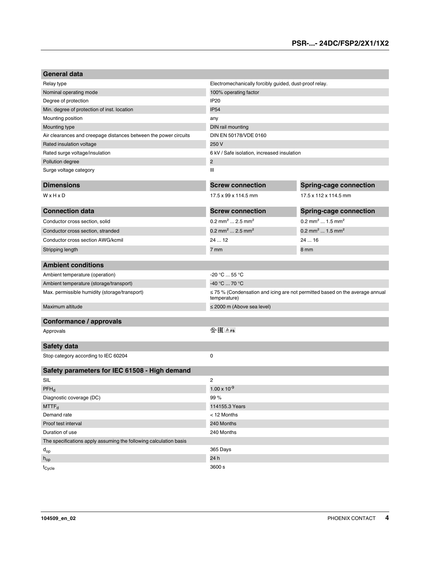| <b>General data</b>                                               |                                                                                                   |                                         |
|-------------------------------------------------------------------|---------------------------------------------------------------------------------------------------|-----------------------------------------|
| Relay type                                                        | Electromechanically forcibly guided, dust-proof relay.                                            |                                         |
| Nominal operating mode                                            | 100% operating factor                                                                             |                                         |
| Degree of protection                                              | IP <sub>20</sub>                                                                                  |                                         |
| Min. degree of protection of inst. location                       | <b>IP54</b>                                                                                       |                                         |
| Mounting position                                                 | any                                                                                               |                                         |
| Mounting type                                                     | DIN rail mounting                                                                                 |                                         |
| Air clearances and creepage distances between the power circuits  | DIN EN 50178/VDE 0160                                                                             |                                         |
| Rated insulation voltage                                          | 250 V                                                                                             |                                         |
| Rated surge voltage/insulation                                    | 6 kV / Safe isolation, increased insulation                                                       |                                         |
| Pollution degree                                                  | $\overline{2}$                                                                                    |                                         |
| Surge voltage category                                            | Ш                                                                                                 |                                         |
| <b>Dimensions</b>                                                 | <b>Screw connection</b>                                                                           | <b>Spring-cage connection</b>           |
| WxHxD                                                             | 17.5 x 99 x 114.5 mm                                                                              | 17.5 x 112 x 114.5 mm                   |
| <b>Connection data</b>                                            | <b>Screw connection</b>                                                                           | <b>Spring-cage connection</b>           |
| Conductor cross section, solid                                    | $0.2$ mm <sup>2</sup> 2.5 mm <sup>2</sup>                                                         | 0.2 mm <sup>2</sup> 1.5 mm <sup>2</sup> |
| Conductor cross section, stranded                                 | 0.2 mm <sup>2</sup> 2.5 mm <sup>2</sup>                                                           | 0.2 mm <sup>2</sup> 1.5 mm <sup>2</sup> |
| Conductor cross section AWG/kcmil                                 | 2412                                                                                              | 24  16                                  |
| Stripping length                                                  | 7 mm                                                                                              | 8 mm                                    |
| <b>Ambient conditions</b>                                         |                                                                                                   |                                         |
| Ambient temperature (operation)                                   | -20 °C  55 °C                                                                                     |                                         |
| Ambient temperature (storage/transport)                           | -40 °C  70 °C                                                                                     |                                         |
| Max. permissible humidity (storage/transport)                     | $\leq$ 75 % (Condensation and icing are not permitted based on the average annual<br>temperature) |                                         |
| Maximum altitude                                                  | $\leq$ 2000 m (Above sea level)                                                                   |                                         |
|                                                                   |                                                                                                   |                                         |
| <b>Conformance / approvals</b>                                    |                                                                                                   |                                         |
| Approvals                                                         | $\mathbb{Q}$ $\mathbb{H}$ $\mathbb{A}$ Fs                                                         |                                         |
| Safety data                                                       |                                                                                                   |                                         |
| Stop category according to IEC 60204                              | 0                                                                                                 |                                         |
| Safety parameters for IEC 61508 - High demand                     |                                                                                                   |                                         |
| SIL                                                               | $\overline{c}$                                                                                    |                                         |
| $PFH_d$                                                           | $1.00 \times 10^{-9}$                                                                             |                                         |
| Diagnostic coverage (DC)                                          | 99%                                                                                               |                                         |
| MTTF <sub>d</sub>                                                 | 114155.3 Years                                                                                    |                                         |
| Demand rate                                                       | < 12 Months                                                                                       |                                         |
| Proof test interval                                               | 240 Months                                                                                        |                                         |
| Duration of use                                                   | 240 Months                                                                                        |                                         |
| The specifications apply assuming the following calculation basis |                                                                                                   |                                         |
| $d_{op}$                                                          | 365 Days                                                                                          |                                         |
| $h_{op}$                                                          | 24 h                                                                                              |                                         |
| t <sub>Cycle</sub>                                                | 3600 s                                                                                            |                                         |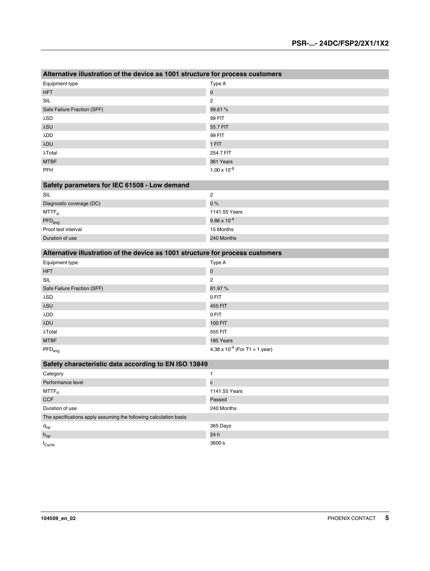| Alternative illustration of the device as 1001 structure for process customers |                       |
|--------------------------------------------------------------------------------|-----------------------|
| Equipment type                                                                 | Type A                |
| <b>HFT</b>                                                                     | $\mathbf 0$           |
| SIL                                                                            | $\overline{2}$        |
| Safe Failure Fraction (SFF)                                                    | 99.61 %               |
| λSD                                                                            | 99 FIT                |
| λSU                                                                            | 55.7 FIT              |
| λDD                                                                            | 99 FIT                |
| λDU                                                                            | 1 FIT                 |
| $\lambda$ Total                                                                | 254.7 FIT             |
| <b>MTBF</b>                                                                    | 361 Years             |
| <b>PFH</b>                                                                     | $1.00 \times 10^{-9}$ |

| Safety parameters for IEC 61508 - Low demand |                       |  |
|----------------------------------------------|-----------------------|--|
| SIL                                          | 2                     |  |
| Diagnostic coverage (DC)                     | $0\%$                 |  |
| $MTTF_d$                                     | 1141.55 Years         |  |
| $PFD_{avg}$                                  | $9.86 \times 10^{-4}$ |  |
| Proof test interval                          | 15 Months             |  |
| Duration of use                              | 240 Months            |  |

| Alternative illustration of the device as 1001 structure for process customers |  |  |
|--------------------------------------------------------------------------------|--|--|
|--------------------------------------------------------------------------------|--|--|

| Equipment type              | Type A                                  |
|-----------------------------|-----------------------------------------|
| <b>HFT</b>                  | $\mathbf 0$                             |
| SIL                         | 2                                       |
| Safe Failure Fraction (SFF) | 81.97%                                  |
| λSD                         | 0 FIT                                   |
| λSU                         | 455 FIT                                 |
| λDD                         | 0 FIT                                   |
| λDU                         | <b>100 FIT</b>                          |
| $\lambda$ Total             | 555 FIT                                 |
| <b>MTBF</b>                 | 185 Years                               |
| $\mathsf{PFD}_\mathsf{avg}$ | $4.38 \times 10^{-4}$ (For T1 = 1 year) |

| Safety characteristic data according to EN ISO 13849              |               |  |
|-------------------------------------------------------------------|---------------|--|
| Category                                                          |               |  |
| Performance level                                                 | C             |  |
| $MTTF_{d}$                                                        | 1141.55 Years |  |
| <b>CCF</b>                                                        | Passed        |  |
| Duration of use                                                   | 240 Months    |  |
| The specifications apply assuming the following calculation basis |               |  |
| $d_{op}$                                                          | 365 Days      |  |
| $h_{op}$                                                          | 24 h          |  |
| t <sub>Cycle</sub>                                                | 3600 s        |  |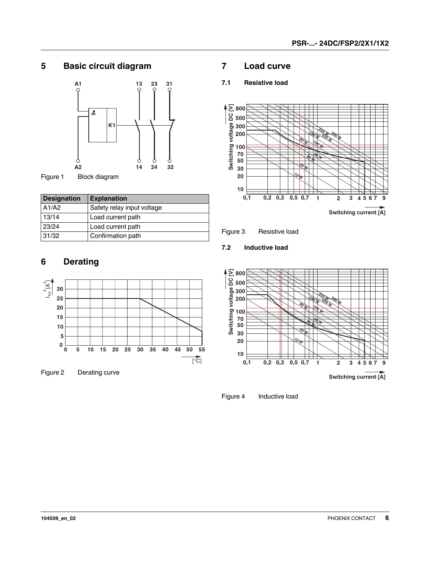# <span id="page-5-0"></span>**5 Basic circuit diagram**



Figure 1 Block diagram

| <b>Designation</b> | <b>Explanation</b>         |
|--------------------|----------------------------|
| A1/A2              | Safety relay input voltage |
| 13/14              | Load current path          |
| 23/24              | Load current path          |
| 31/32              | Confirmation path          |

# <span id="page-5-1"></span>**6 Derating**



Figure 2 Derating curve

### <span id="page-5-2"></span>**7 Load curve**

#### <span id="page-5-3"></span>**7.1 Resistive load**



Figure 3 Resistive load

<span id="page-5-4"></span>**7.2 Inductive load**



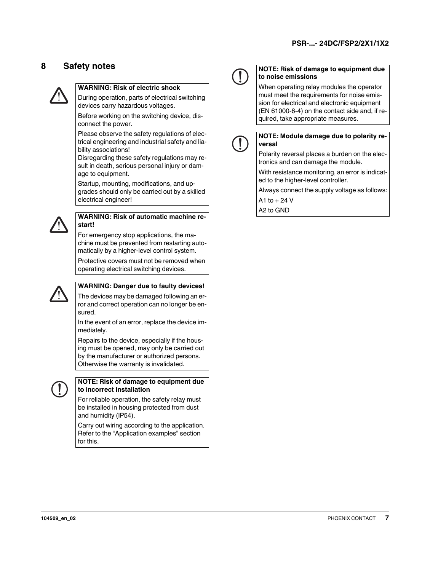# <span id="page-6-0"></span>**8 Safety notes**



#### **WARNING: Risk of electric shock**

During operation, parts of electrical switching devices carry hazardous voltages.

Before working on the switching device, disconnect the power.

Please observe the safety regulations of electrical engineering and industrial safety and liability associations!

Disregarding these safety regulations may result in death, serious personal injury or damage to equipment.

Startup, mounting, modifications, and upgrades should only be carried out by a skilled electrical engineer!



#### **WARNING: Risk of automatic machine restart!**

For emergency stop applications, the machine must be prevented from restarting automatically by a higher-level control system.

Protective covers must not be removed when operating electrical switching devices.



#### **WARNING: Danger due to faulty devices!**

The devices may be damaged following an error and correct operation can no longer be ensured.

In the event of an error, replace the device immediately.

Repairs to the device, especially if the housing must be opened, may only be carried out by the manufacturer or authorized persons. Otherwise the warranty is invalidated.



#### **NOTE: Risk of damage to equipment due to incorrect installation**

For reliable operation, the safety relay must be installed in housing protected from dust and humidity (IP54).

Carry out wiring according to the application. Refer to the "Application examples" section for this.



#### **NOTE: Risk of damage to equipment due to noise emissions**

When operating relay modules the operator must meet the requirements for noise emission for electrical and electronic equipment (EN 61000-6-4) on the contact side and, if required, take appropriate measures.



#### **NOTE: Module damage due to polarity reversal**

Polarity reversal places a burden on the electronics and can damage the module.

With resistance monitoring, an error is indicated to the higher-level controller.

Always connect the supply voltage as follows:

A1 to  $+ 24$  V A2 to GND